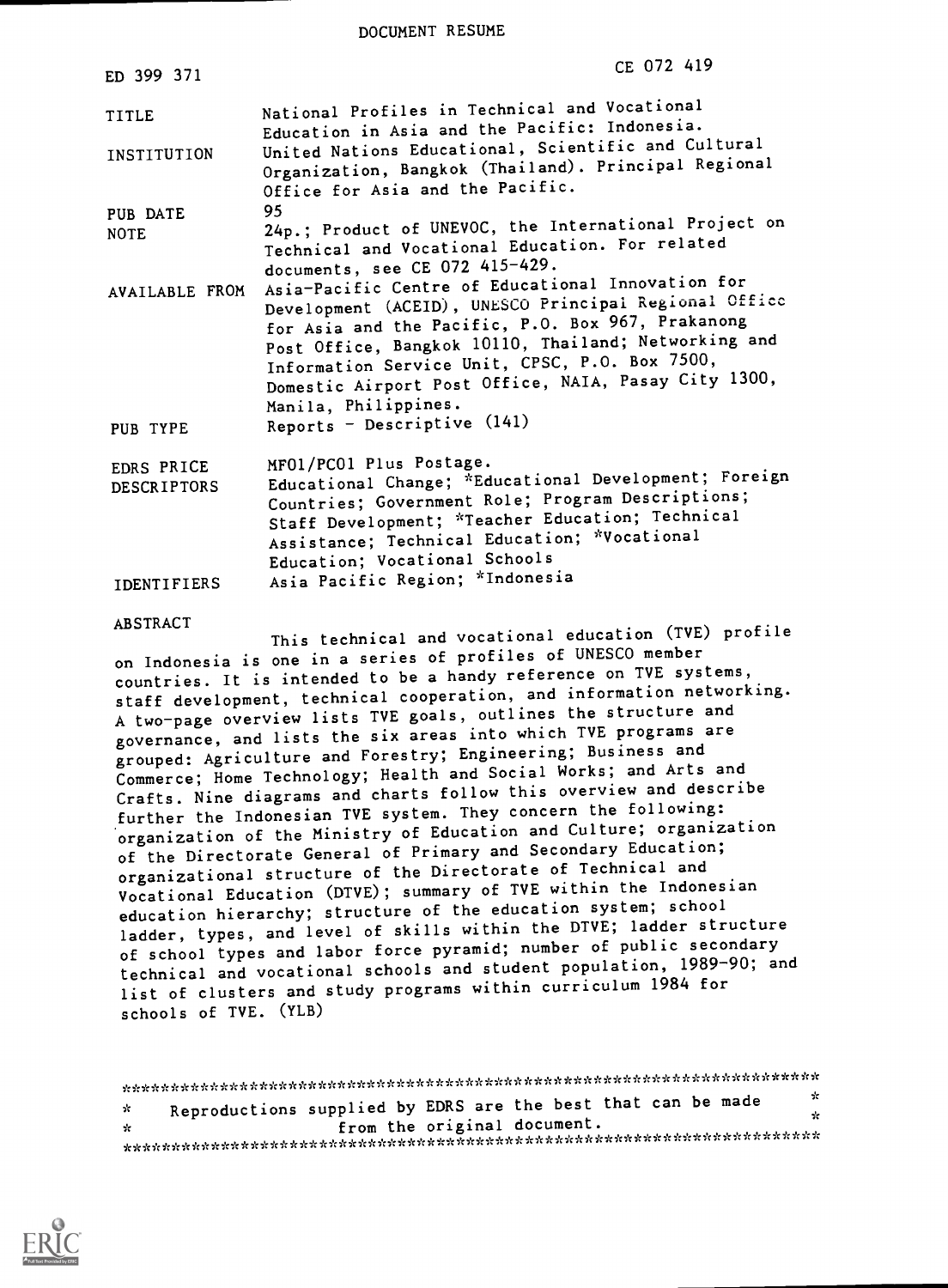DOCUMENT RESUME

| ED 399 371                       | CE 072 419                                                                                                                                                                                                                                                                                                                                                |
|----------------------------------|-----------------------------------------------------------------------------------------------------------------------------------------------------------------------------------------------------------------------------------------------------------------------------------------------------------------------------------------------------------|
| TITLE                            | National Profiles in Technical and Vocational<br>Education in Asia and the Pacific: Indonesia.                                                                                                                                                                                                                                                            |
| INSTITUTION                      | United Nations Educational, Scientific and Cultural<br>Organization, Bangkok (Thailand). Principal Regional<br>Office for Asia and the Pacific.                                                                                                                                                                                                           |
| PUB DATE                         | 95                                                                                                                                                                                                                                                                                                                                                        |
| <b>NOTE</b>                      | 24p.; Product of UNEVOC, the International Project on<br>Technical and Vocational Education. For related<br>documents, see CE 072 415-429.                                                                                                                                                                                                                |
| AVAILABLE FROM                   | Asia-Pacific Centre of Educational Innovation for<br>Development (ACEID), UNESCO Principal Regional Office<br>for Asia and the Pacific, P.O. Box 967, Prakanong<br>Post Office, Bangkok 10110, Thailand; Networking and<br>Information Service Unit, CPSC, P.O. Box 7500,<br>Domestic Airport Post Office, NAIA, Pasay City 1300,<br>Manila, Philippines. |
| PUB TYPE                         | Reports - Descriptive (141)                                                                                                                                                                                                                                                                                                                               |
| EDRS PRICE<br><b>DESCRIPTORS</b> | MF01/PC01 Plus Postage.<br>Educational Change; *Educational Development; Foreign                                                                                                                                                                                                                                                                          |
|                                  | Countries; Government Role; Program Descriptions;<br>Staff Development; *Teacher Education; Technical<br>Assistance; Technical Education; *Vocational<br>Education; Vocational Schools                                                                                                                                                                    |
| <b>IDENTIFIERS</b>               | Asia Pacific Region; *Indonesia                                                                                                                                                                                                                                                                                                                           |

#### ABSTRACT

This technical and vocational education (TVE) profile on Indonesia is one in a series of profiles of UNESCO member countries. It is intended to be a handy reference on TVE systems, staff development, technical cooperation, and information networking. A two-page overview lists TVE goals, outlines the structure and governance, and lists the six areas into which TVE programs are grouped: Agriculture and Forestry; Engineering; Business and Commerce; Home Technology; Health and Social Works; and Arts and Crafts. Nine diagrams and charts follow this overview and describe further the Indonesian TVE system. They concern the following: organization of the Ministry of Education and Culture; organization of the Directorate General of Primary and Secondary Education; organizational structure of the Directorate of Technical and Vocational Education (DTVE); summary of TVE within the Indonesian education hierarchy; structure of the education system; school ladder, types, and level of skills within the DTVE; ladder structure of school types and labor force pyramid; number of public secondary technical and vocational schools and student population, 1989-90; and list of clusters and study programs within curriculum 1984 for schools of TVE. (YLB)

|              |                                                              |  | - 22 |
|--------------|--------------------------------------------------------------|--|------|
| $\mathbf{x}$ | Reproductions supplied by EDRS are the best that can be made |  | ÷    |
| ÷.           | from the original document.                                  |  |      |
|              |                                                              |  |      |

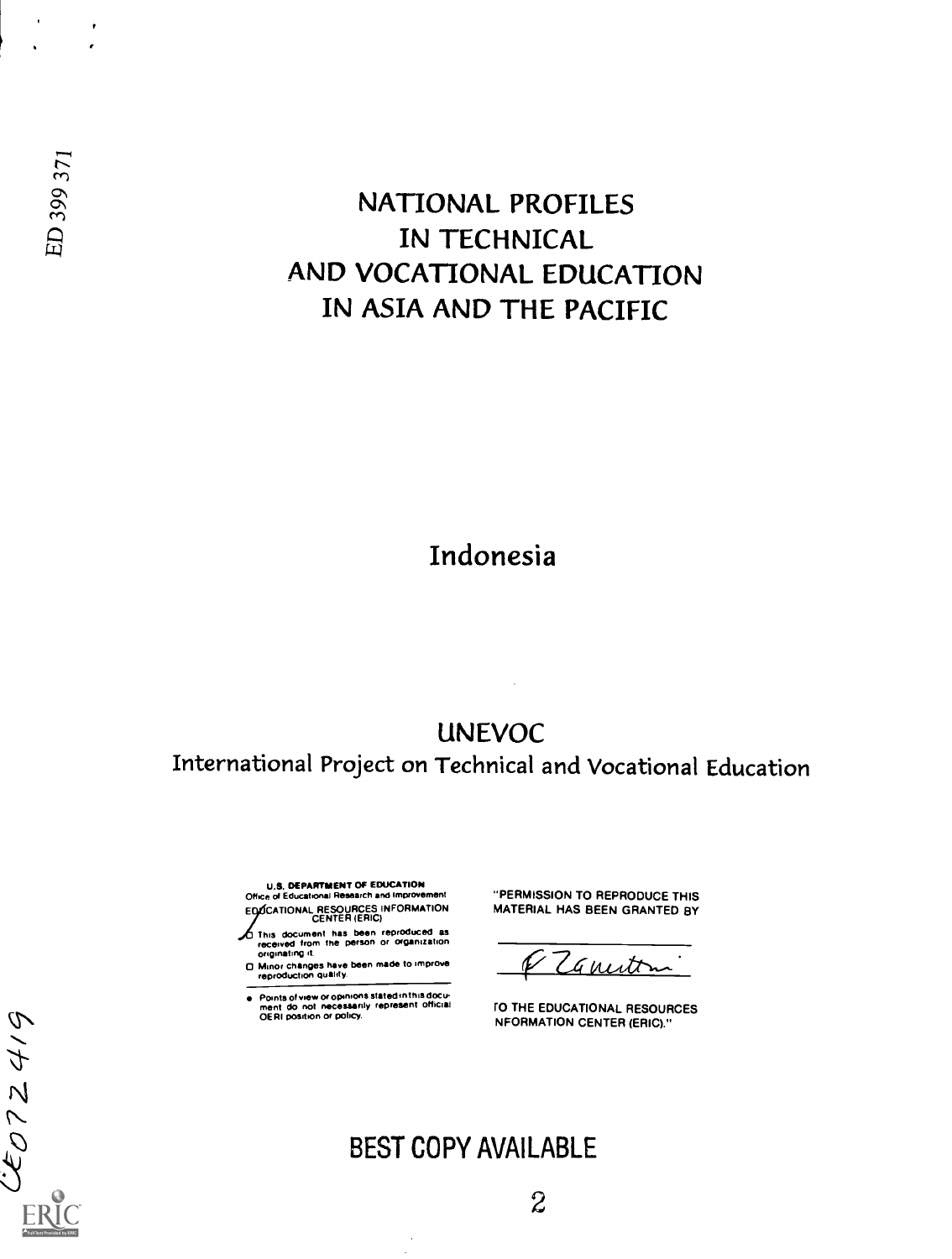$\bullet$  $\cdot$ 

61772116

## NATIONAL PROFILES IN TECHNICAL AND VOCATIONAL EDUCATION IN ASIA AND THE PACIFIC

### Indonesia

UNEVOC International Project on Technical and Vocational Education

U.S. DEPARTMENT OF EDUCATION Office of Educational Research and improvement

EDOCATIONAL RESOURCES INFORMATION MA This document has been reproduced as received from the person or organization originating it.

0 Minor changes have been made to improve reproduction quality.

Points of view or opinions stated in this docu-<br>ment do not necessarily represent official 10 THE EDUCATIONAL RESOURCES

"PERMISSION TO REPRODUCE THIS MATERIAL HAS BEEN GRANTED BY

Canutini

OERI position or policy.<br>
NFORMATION CENTER (ERIC)."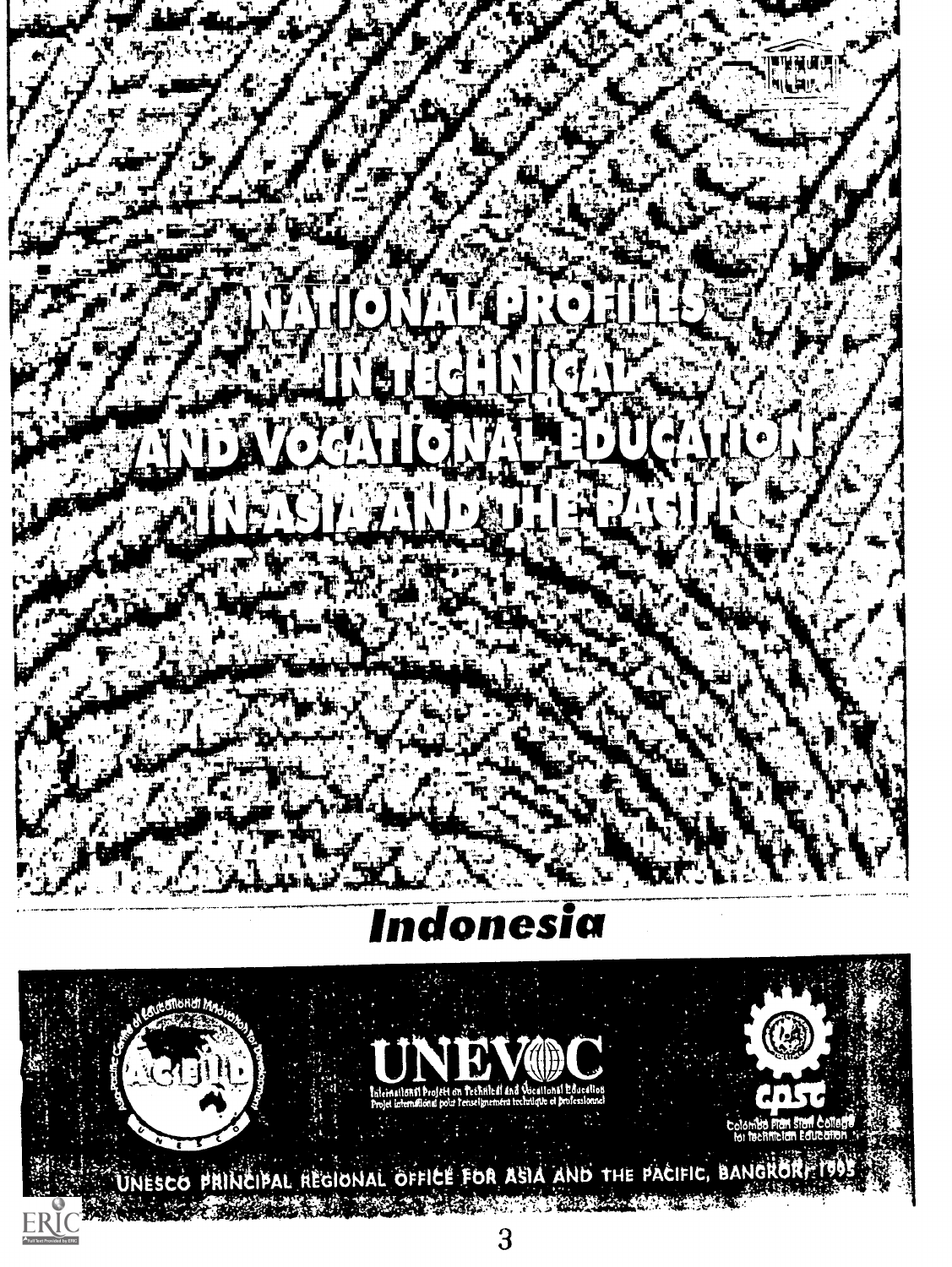### ndonesia **II**

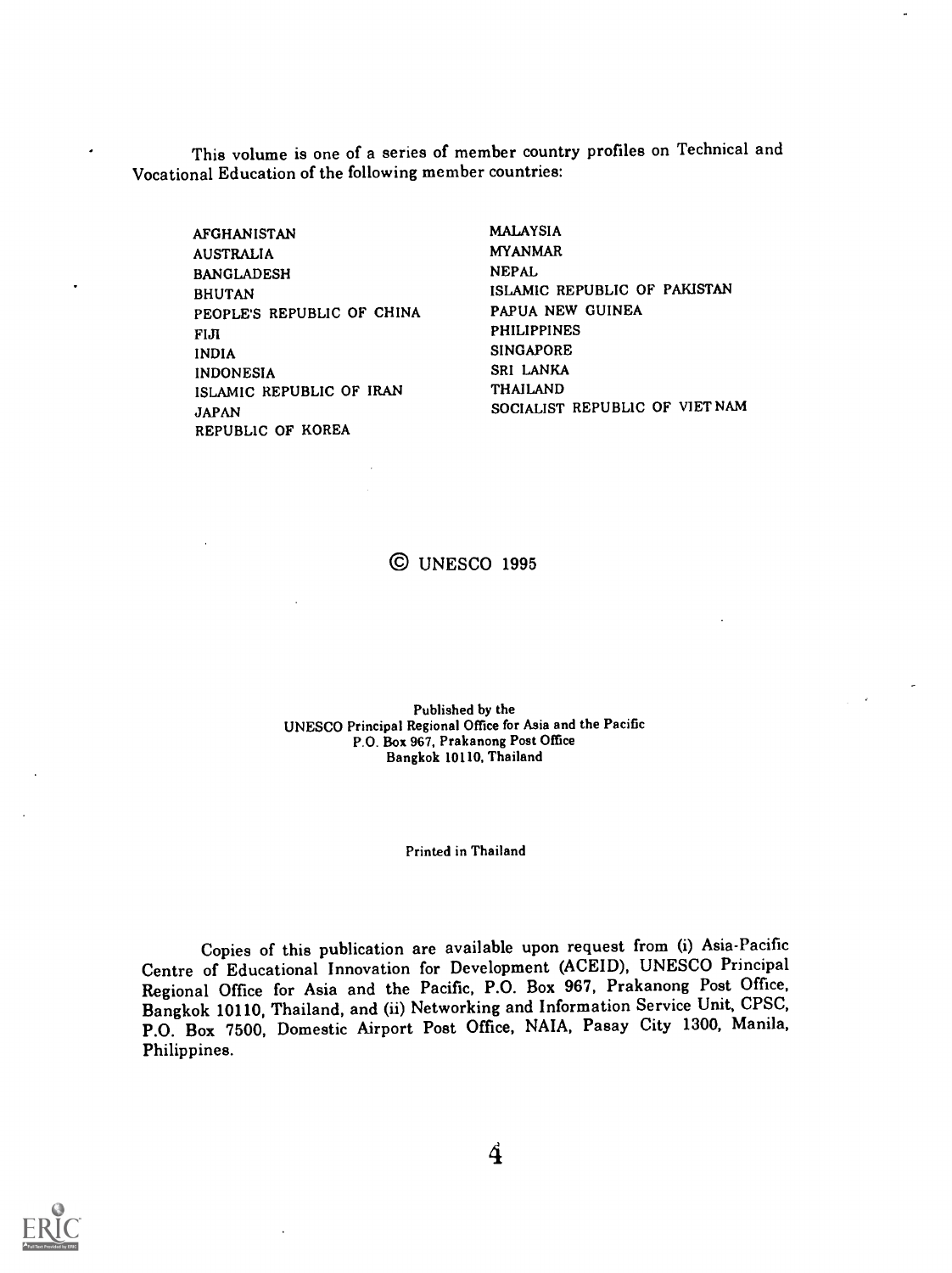This volume is one of a series of member country profiles on Technical and Vocational Education of the following member countries:

AFGHANISTAN AUSTRALIA BANGLADESH BHUTAN PEOPLE'S REPUBLIC OF CHINA FIJI INDIA INDONESIA ISLAMIC REPUBLIC OF IRAN JAPAN REPUBLIC OF KOREA

MALAYSIA MYANMAR NEPAL ISLAMIC REPUBLIC OF PAKISTAN PAPUA NEW GUINEA PHILIPPINES SINGAPORE SRI LANKA THAILAND SOCIALIST REPUBLIC OF VIETNAM

© UNESCO 1995

Published by the UNESCO Principal Regional Office for Asia and the Pacific P.O. Box 967, Prakanong Post Office Bangkok 10110, Thailand

Printed in Thailand

Copies of this publication are available upon request from (i) Asia-Pacific Centre of Educational Innovation for Development (ACEID), UNESCO Principal Regional Office for Asia and the Pacific, P.O. Box 967, Prakanong Post Office, Bangkok 10110, Thailand, and (ii) Networking and Information Service Unit, CPSC, P.O. Box 7500, Domestic Airport Post Office, NAIA, Pasay City 1300, Manila, Philippines.



4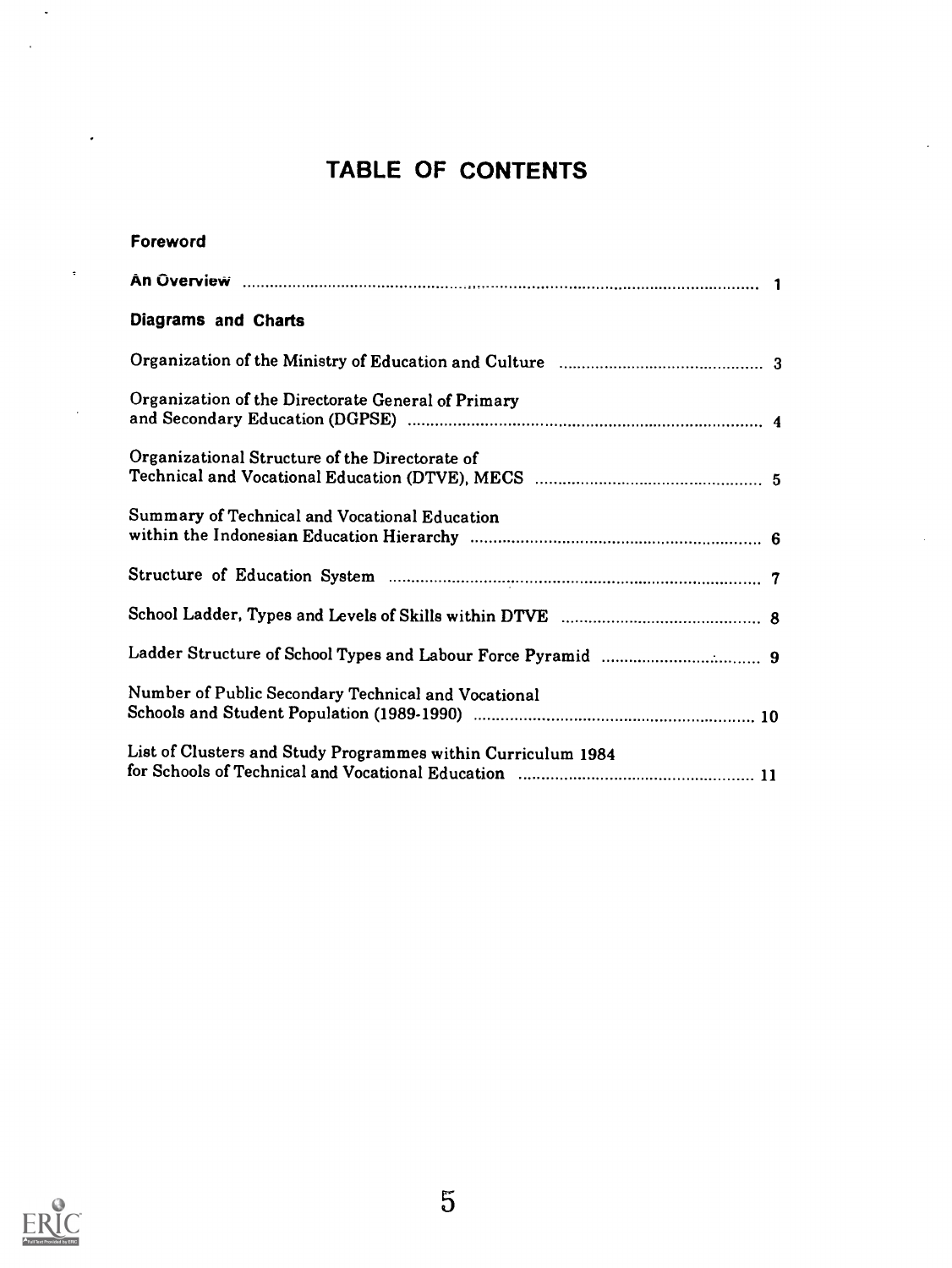## TABLE OF CONTENTS

| Foreword                                                     |  |
|--------------------------------------------------------------|--|
|                                                              |  |
| Diagrams and Charts                                          |  |
|                                                              |  |
| Organization of the Directorate General of Primary           |  |
| Organizational Structure of the Directorate of               |  |
| Summary of Technical and Vocational Education                |  |
|                                                              |  |
|                                                              |  |
|                                                              |  |
| Number of Public Secondary Technical and Vocational          |  |
| List of Clusters and Study Programmes within Curriculum 1984 |  |

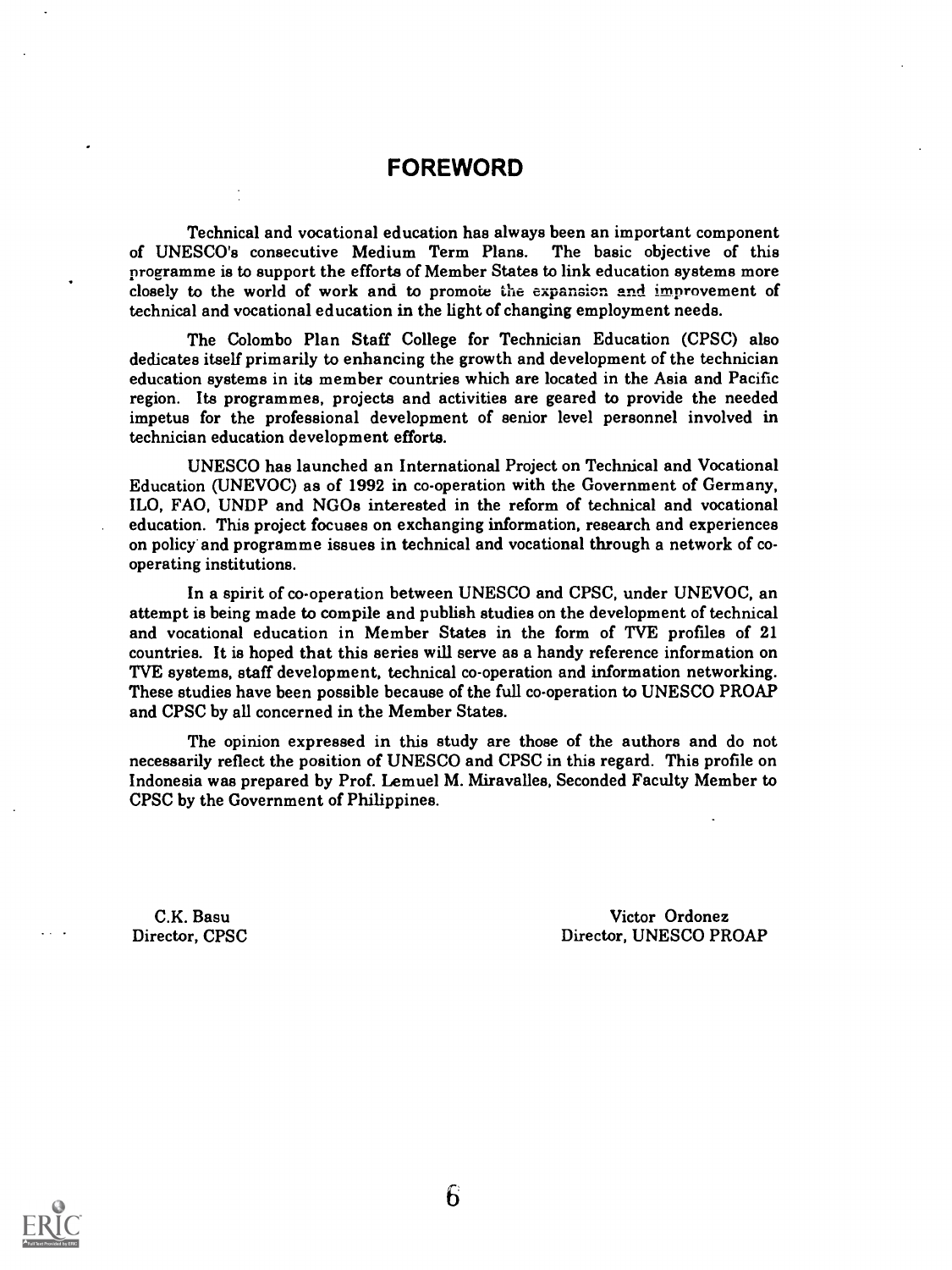### FOREWORD

Technical and vocational education has always been an important component of UNESCO's consecutive Medium Term Plans. The basic objective of this programme is to support the efforts of Member States to link education systems more closely to the world of work and to promote the expansion and improvement of technical and vocational education in the light of changing employment needs.

The Colombo Plan Staff College for Technician Education (CPSC) also dedicates itself primarily to enhancing the growth and development of the technician education systems in its member countries which are located in the Asia and Pacific region. Its programmes, projects and activities are geared to provide the needed impetus for the professional development of senior level personnel involved in technician education development efforts.

UNESCO has launched an International Project on Technical and Vocational Education (UNEVOC) as of 1992 in co-operation with the Government of Germany, ILO, FAO, UNDP and NGOs interested in the reform of technical and vocational education. This project focuses on exchanging information, research and experiences on policy' and programme issues in technical and vocational through a network of cooperating institutions.

In a spirit of co-operation between UNESCO and CPSC, under UNEVOC, an attempt is being made to compile and publish studies on the development of technical and vocational education in Member States in the form of TVE profiles of 21 countries. It is hoped that this series will serve as a handy reference information on TVE systems, staff development, technical co-operation and information networking. These studies have been possible because of the full co-operation to UNESCO PROAP and CPSC by all concerned in the Member States.

The opinion expressed in this study are those of the authors and do not necessarily reflect the position of UNESCO and CPSC in this regard. This profile on Indonesia was prepared by Prof. Lemuel M. Miravalles, Seconded Faculty Member to CPSC by the Government of Philippines.

C.K. Basu Director, CPSC

Victor Ordonez Director, UNESCO PROAP

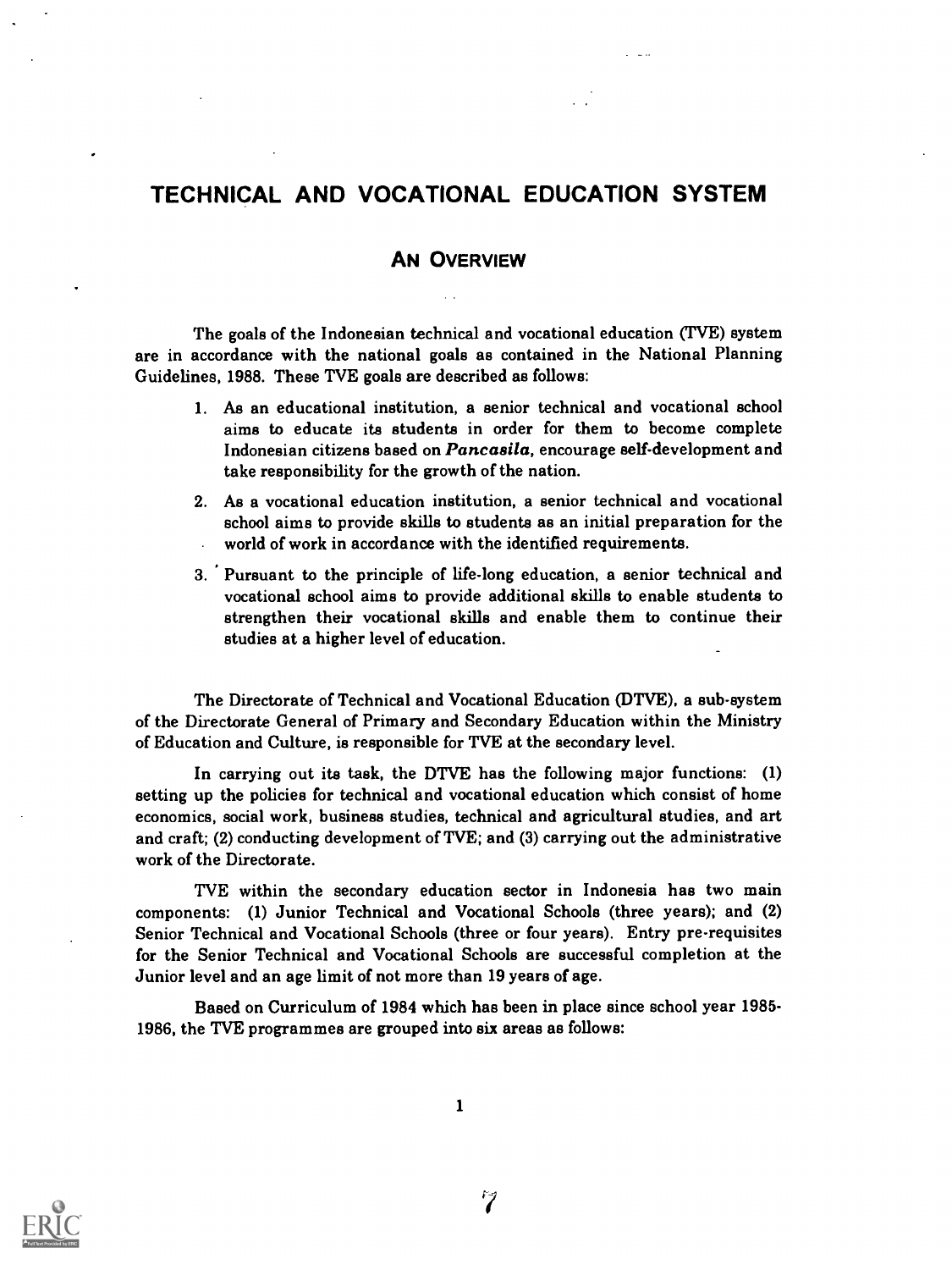### TECHNICAL AND VOCATIONAL EDUCATION SYSTEM

#### AN OVERVIEW

The goals of the Indonesian technical and vocational education (TVE) system are in accordance with the national goals as contained in the National Planning Guidelines, 1988. These TVE goals are described as follows:

- 1. As an educational institution, a senior technical and vocational school aims to educate its students in order for them to become complete Indonesian citizens based on Pancasila, encourage self-development and take responsibility for the growth of the nation.
- 2. As a vocational education institution, a senior technical and vocational school aims to provide skills to students as an initial preparation for the world of work in accordance with the identified requirements.
- 3. Pursuant to the principle of life-long education, a senior technical and vocational school aims to provide additional skills to enable students to strengthen their vocational skills and enable them to continue their studies at a higher level of education.

The Directorate of Technical and Vocational Education (DTVE), a sub-system of the Directorate General of Primary and Secondary Education within the Ministry of Education and Culture, is responsible for TVE at the secondary level.

In carrying out its task, the DTVE has the following major functions: (1) setting up the policies for technical and vocational education which consist of home economics, social work, business studies, technical and agricultural studies, and art and craft; (2) conducting development of TVE; and (3) carrying out the administrative work of the Directorate.

TVE within the secondary education sector in Indonesia has two main components: (1) Junior Technical and Vocational Schools (three years); and (2) Senior Technical and Vocational Schools (three or four years). Entry pre-requisites for the Senior Technical and Vocational Schools are successful completion at the Junior level and an age limit of not more than 19 years of age.

Based on Curriculum of 1984 which has been in place since school year 1985- 1986, the 'I'VE programmes are grouped into six areas as follows:

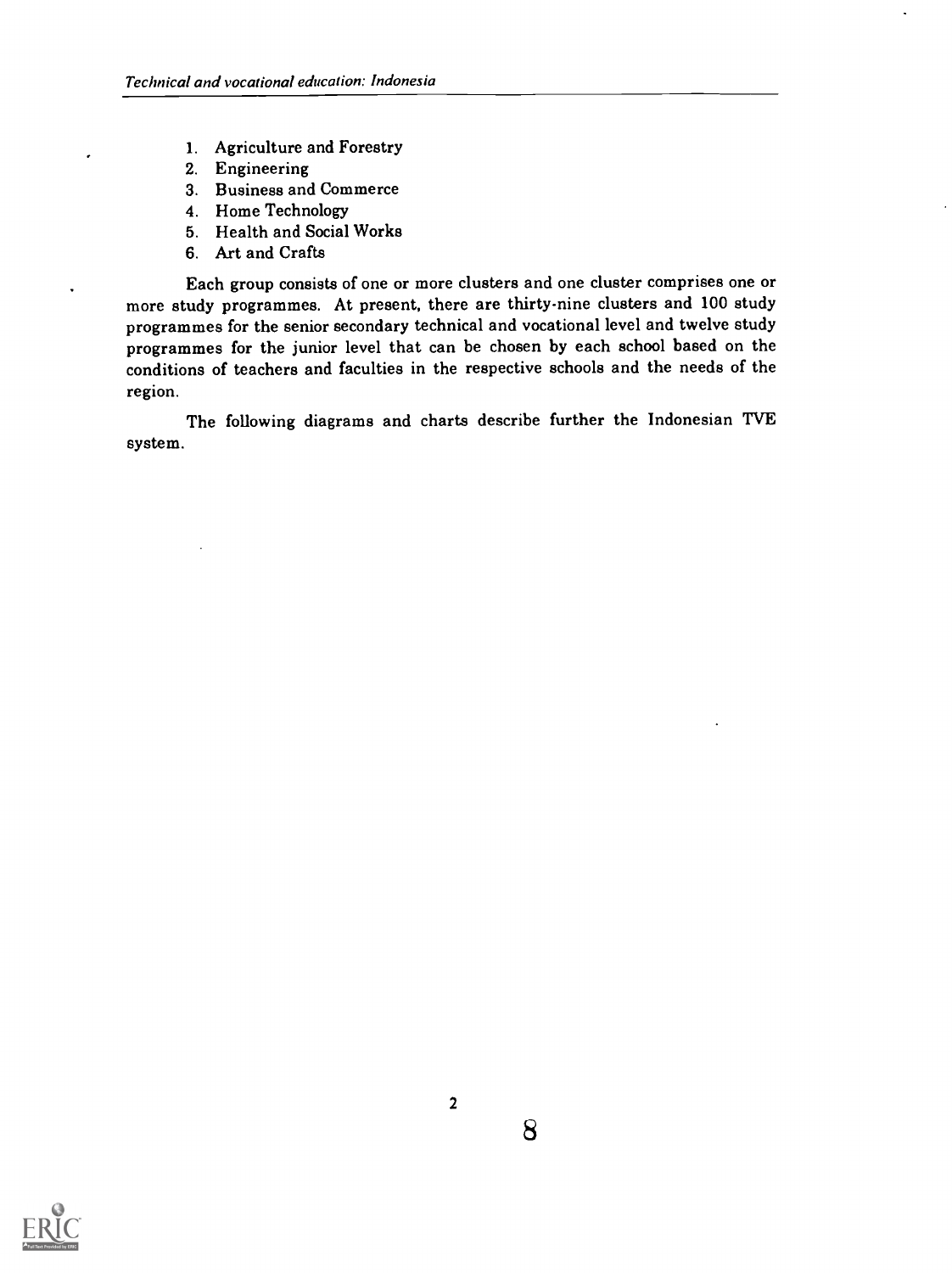- 1. Agriculture and Forestry
- 2. Engineering
- 3. Business and Commerce
- 4. Home Technology
- 5. Health and Social Works
- 6. Art and Crafts

Each group consists of one or more clusters and one cluster comprises one or more study programmes. At present, there are thirty-nine clusters and 100 study programmes for the senior secondary technical and vocational level and twelve study programmes for the junior level that can be chosen by each school based on the conditions of teachers and faculties in the respective schools and the needs of the region.

system. The following diagrams and charts describe further the Indonesian TVE

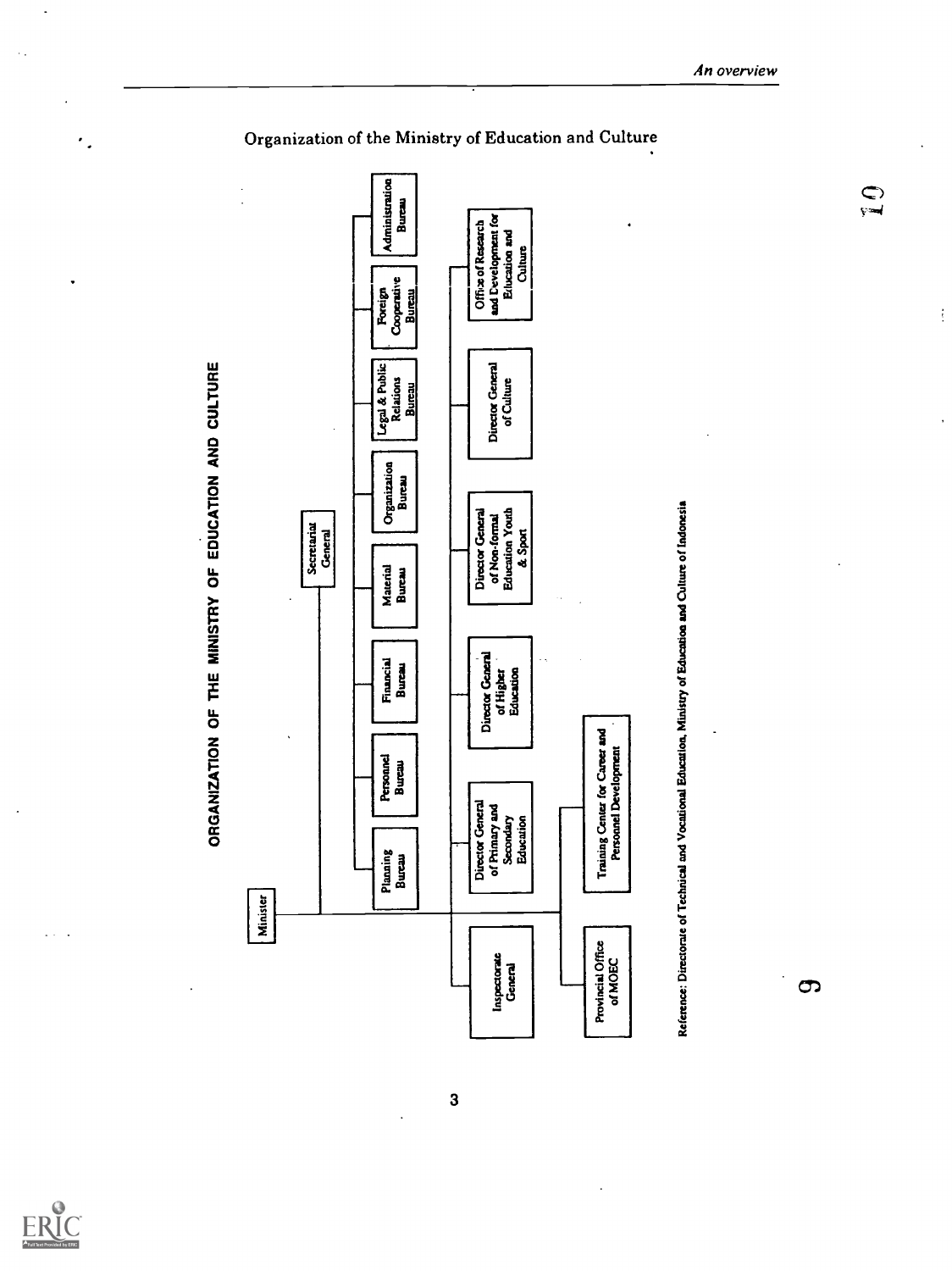$\mathcal{L}_{\mathcal{A}}$ 

٠.



An overview

 $\overline{\mathbf{3}}$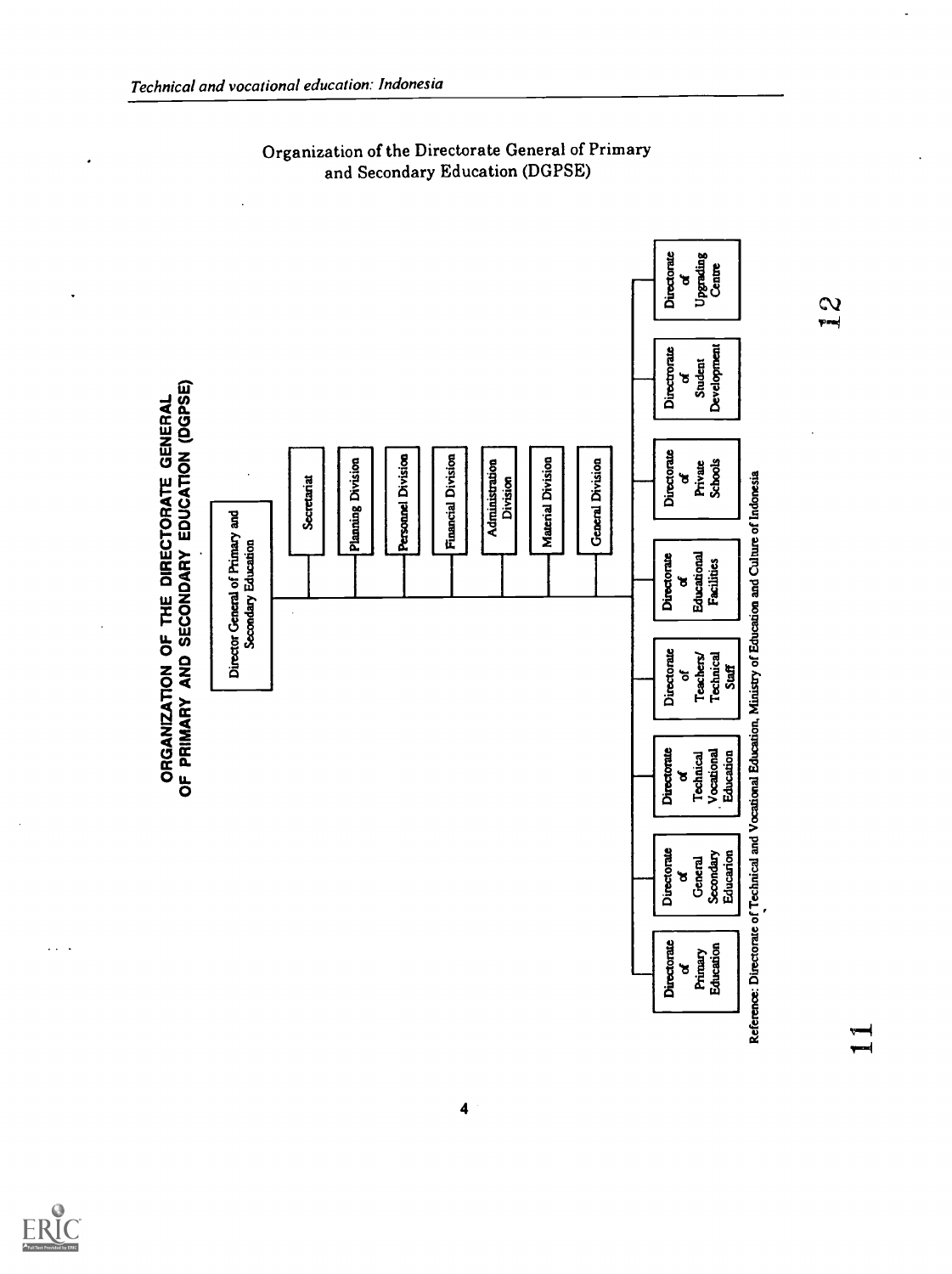

Organization of the Directorate General of Primary and Secondary Education (DGPSE)

μ.,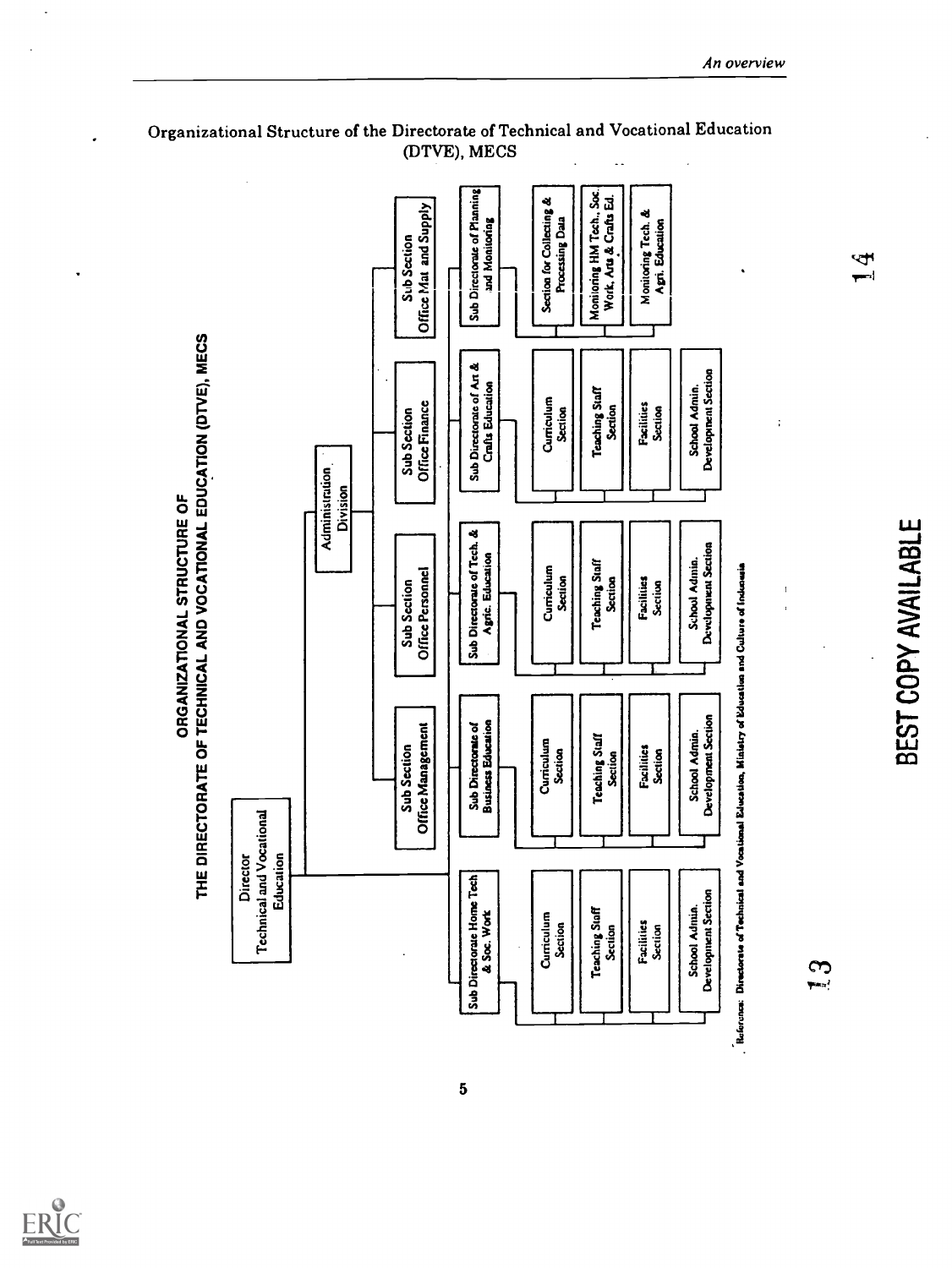

 $\ddot{\phantom{0}}$ 

 $5\phantom{.0}$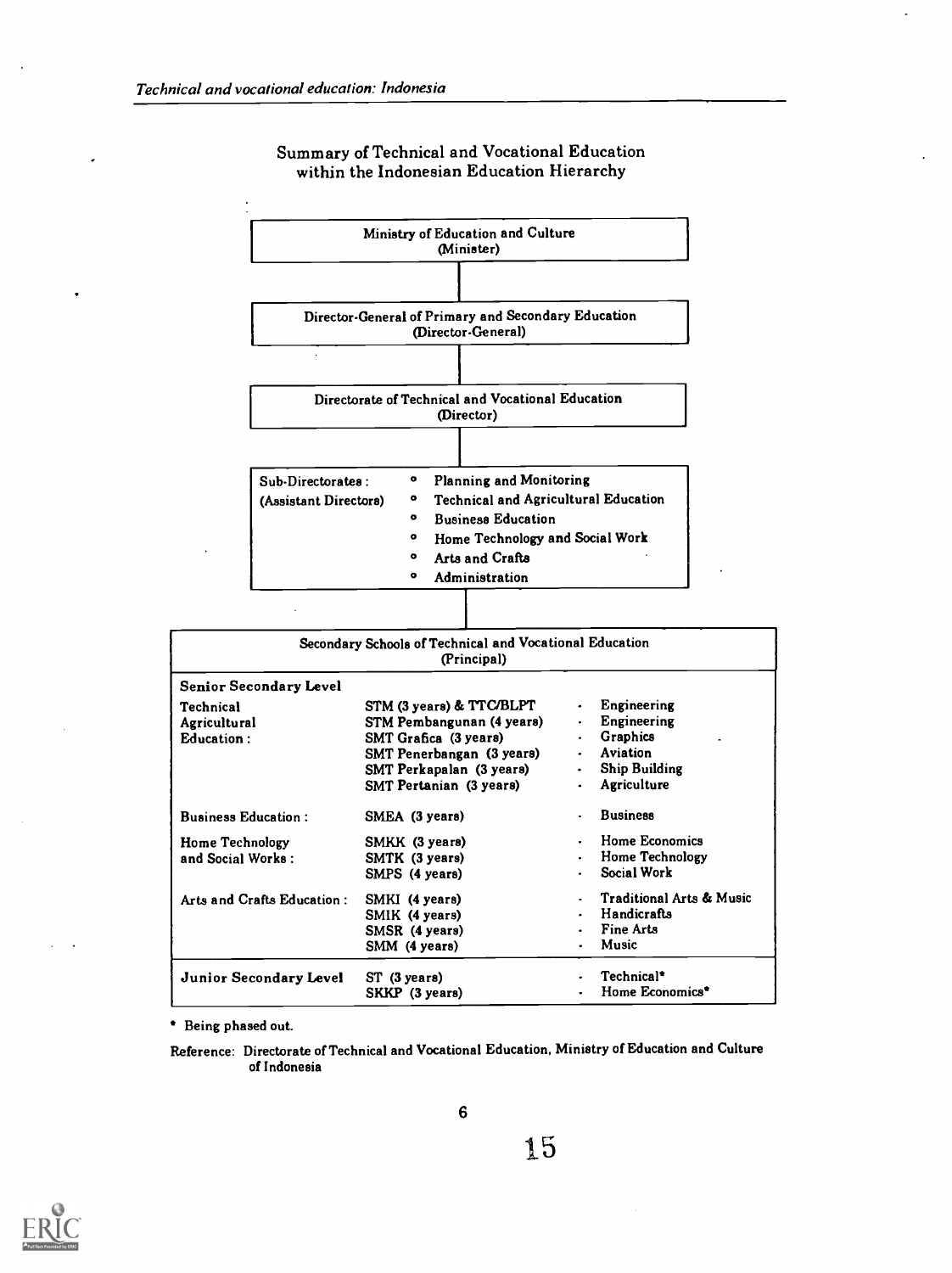

#### Summary of Technical and Vocational Education within the Indonesian Education Hierarchy

| Secondary Schools of Technical and Vocational Education<br>(Principal) |                                |  |                                     |  |
|------------------------------------------------------------------------|--------------------------------|--|-------------------------------------|--|
| <b>Senior Secondary Level</b>                                          |                                |  |                                     |  |
| Technical                                                              | STM (3 years) & TTC/BLPT       |  | <b>Engineering</b>                  |  |
| Agricultural                                                           | STM Pembangunan (4 years)      |  | Engineering                         |  |
| <b>Education:</b>                                                      | SMT Grafica (3 years)          |  | Graphics                            |  |
|                                                                        | SMT Penerbangan (3 years)      |  | Aviation                            |  |
|                                                                        | SMT Perkapalan (3 years)       |  | <b>Ship Building</b>                |  |
|                                                                        | <b>SMT Pertanian (3 years)</b> |  | Agriculture                         |  |
| <b>Business Education:</b>                                             | SMEA (3 years)                 |  | <b>Business</b>                     |  |
| Home Technology                                                        | SMKK (3 years)                 |  | Home Economics                      |  |
| and Social Works:                                                      | SMTK (3 years)                 |  | <b>Home Technology</b>              |  |
|                                                                        | SMPS (4 years)                 |  | Social Work                         |  |
| Arts and Crafts Education:                                             | SMKI (4 years)                 |  | <b>Traditional Arts &amp; Music</b> |  |
|                                                                        | SMIK (4 years)                 |  | Handicrafts                         |  |
|                                                                        | SMSR (4 years)                 |  | <b>Fine Arts</b>                    |  |
|                                                                        | SMM (4 years)                  |  | Music                               |  |
| <b>Junior Secondary Level</b>                                          | ST (3 years)                   |  | Technical*                          |  |
|                                                                        | SKKP (3 years)                 |  | Home Economics*                     |  |

Being phased out.

Reference: Directorate of Technical and Vocational Education, Ministry of Education and Culture of Indonesia

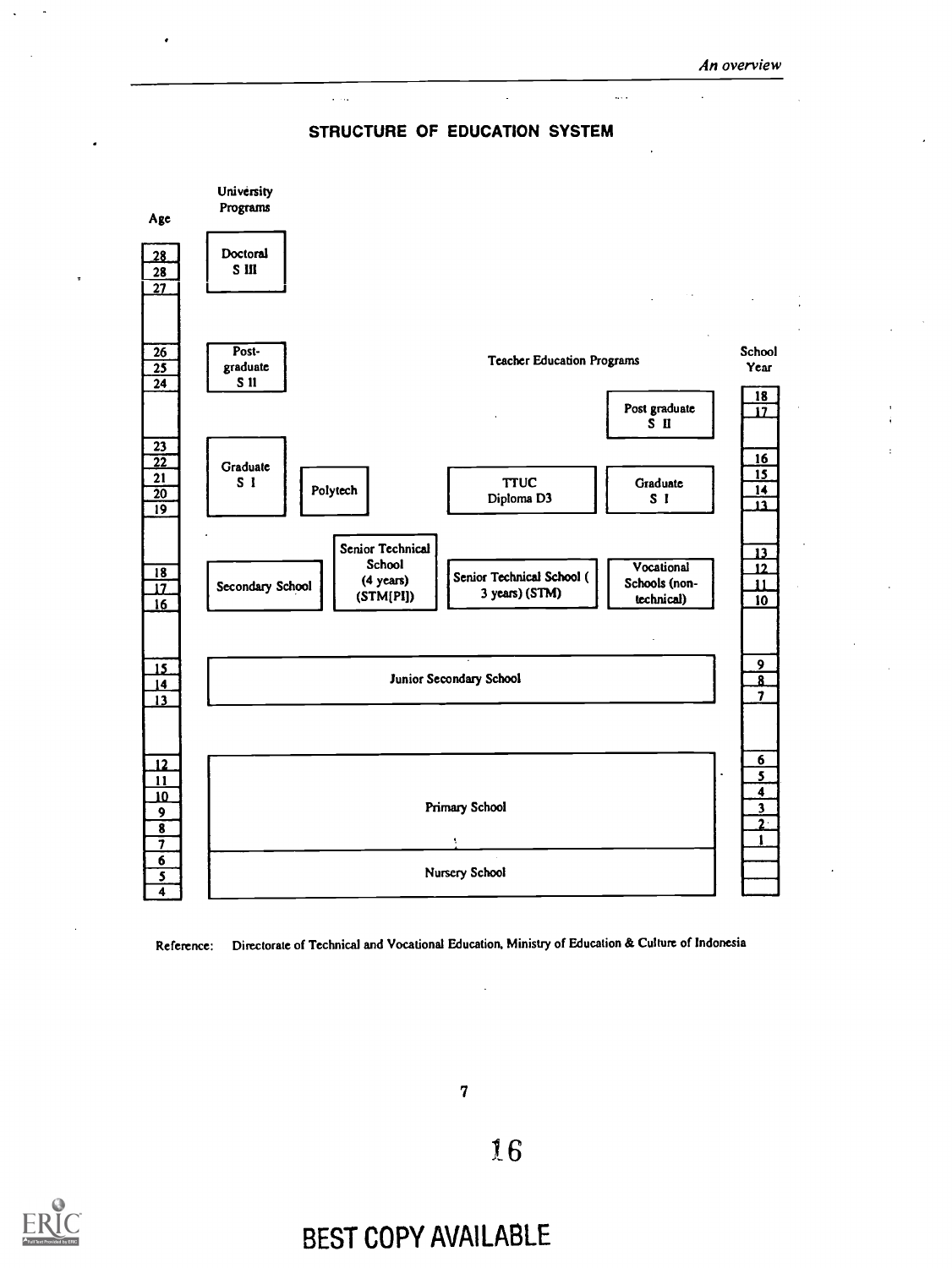

 $\bar{1}$  ,  $\bar{1}$ 



Reference: Directorate of Technical and Vocational Education. Ministry of Education & Culture of Indonesia

7

16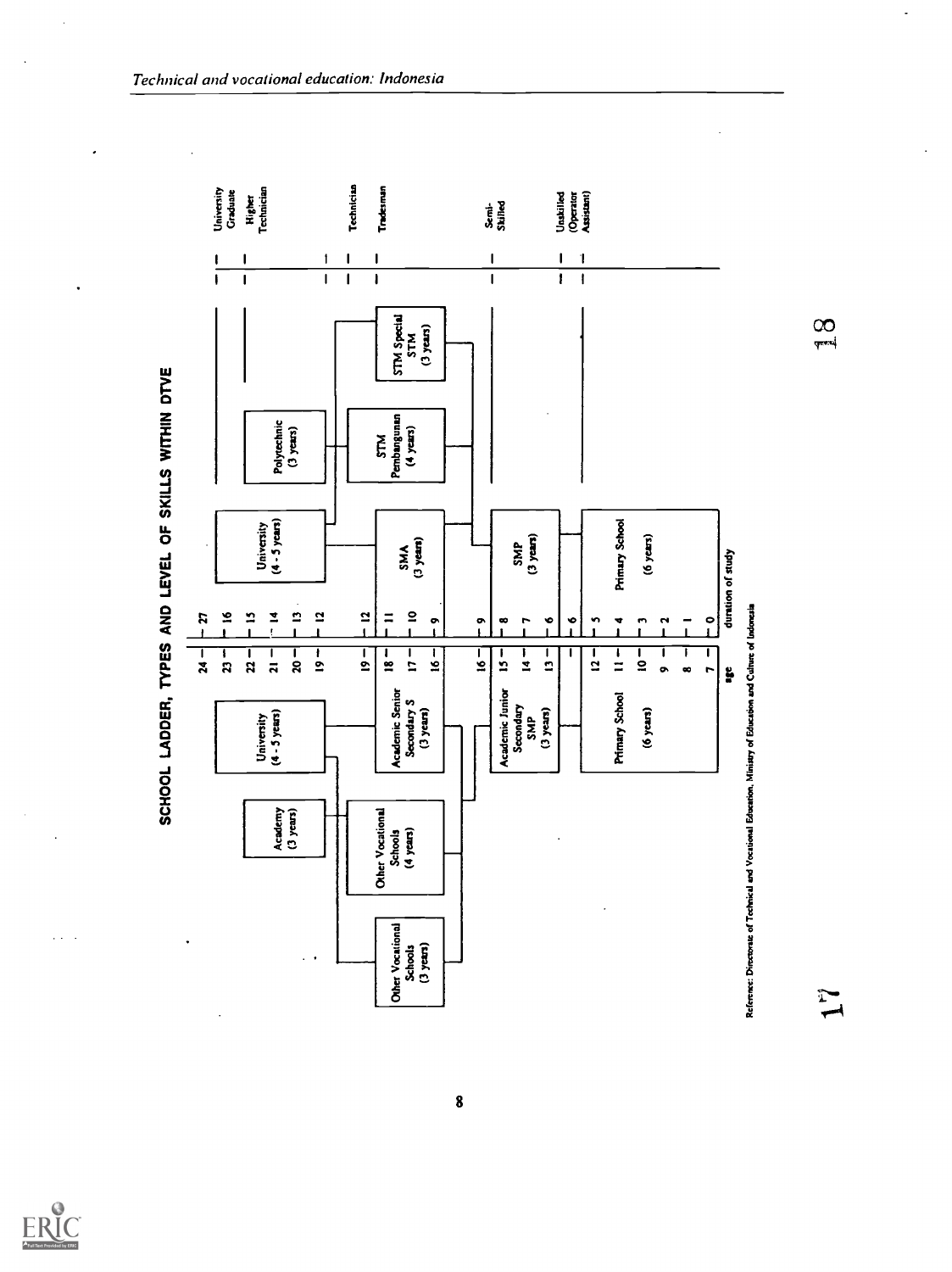

 $\mathcal{L}^{\mathcal{L}}$ 

 $\ddot{\phantom{a}}$ 

 $\overline{\phantom{a}}$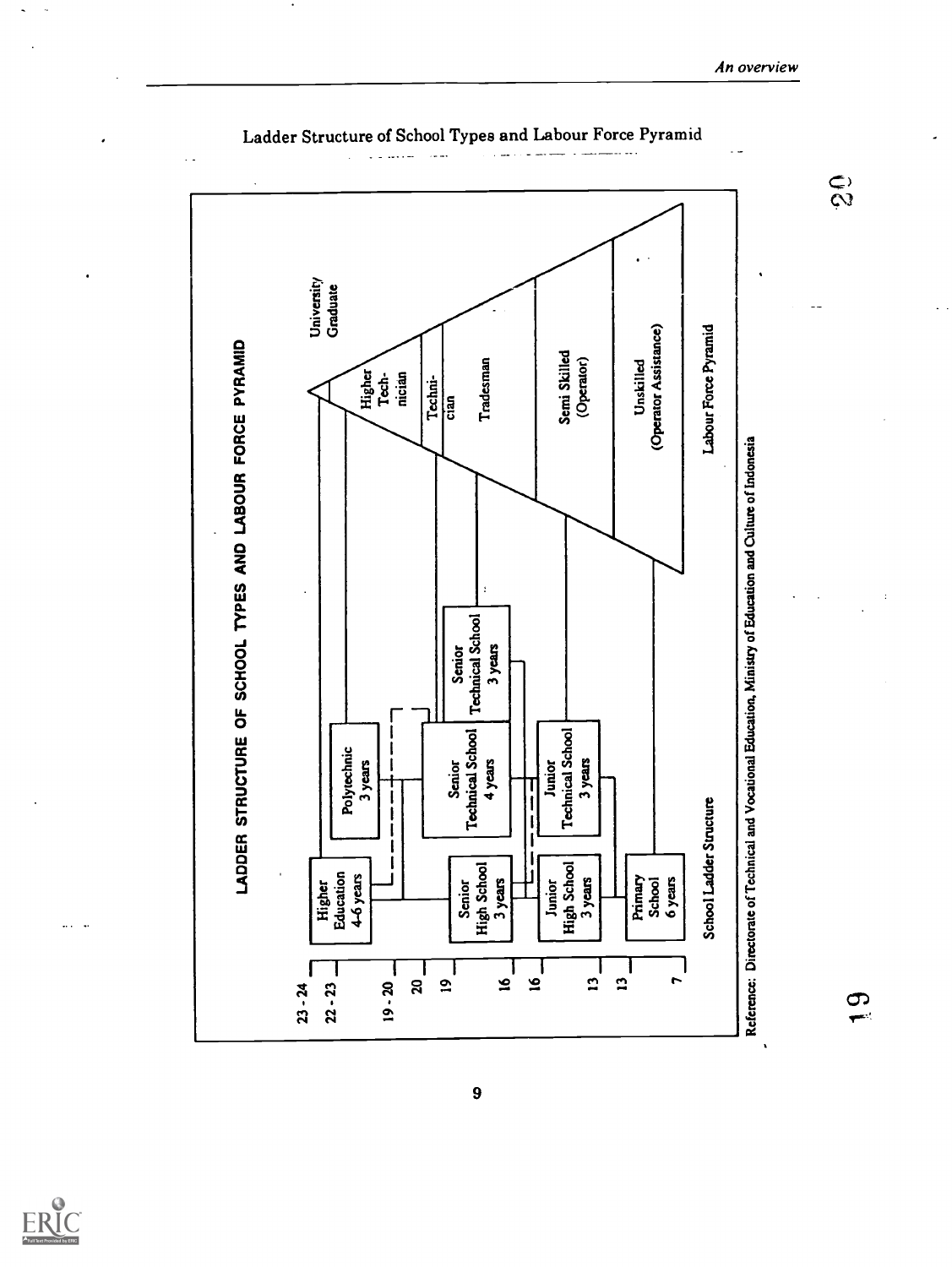

Ladder Structure of School Types and Labour Force Pyramid



 $\hat{\mathcal{S}}$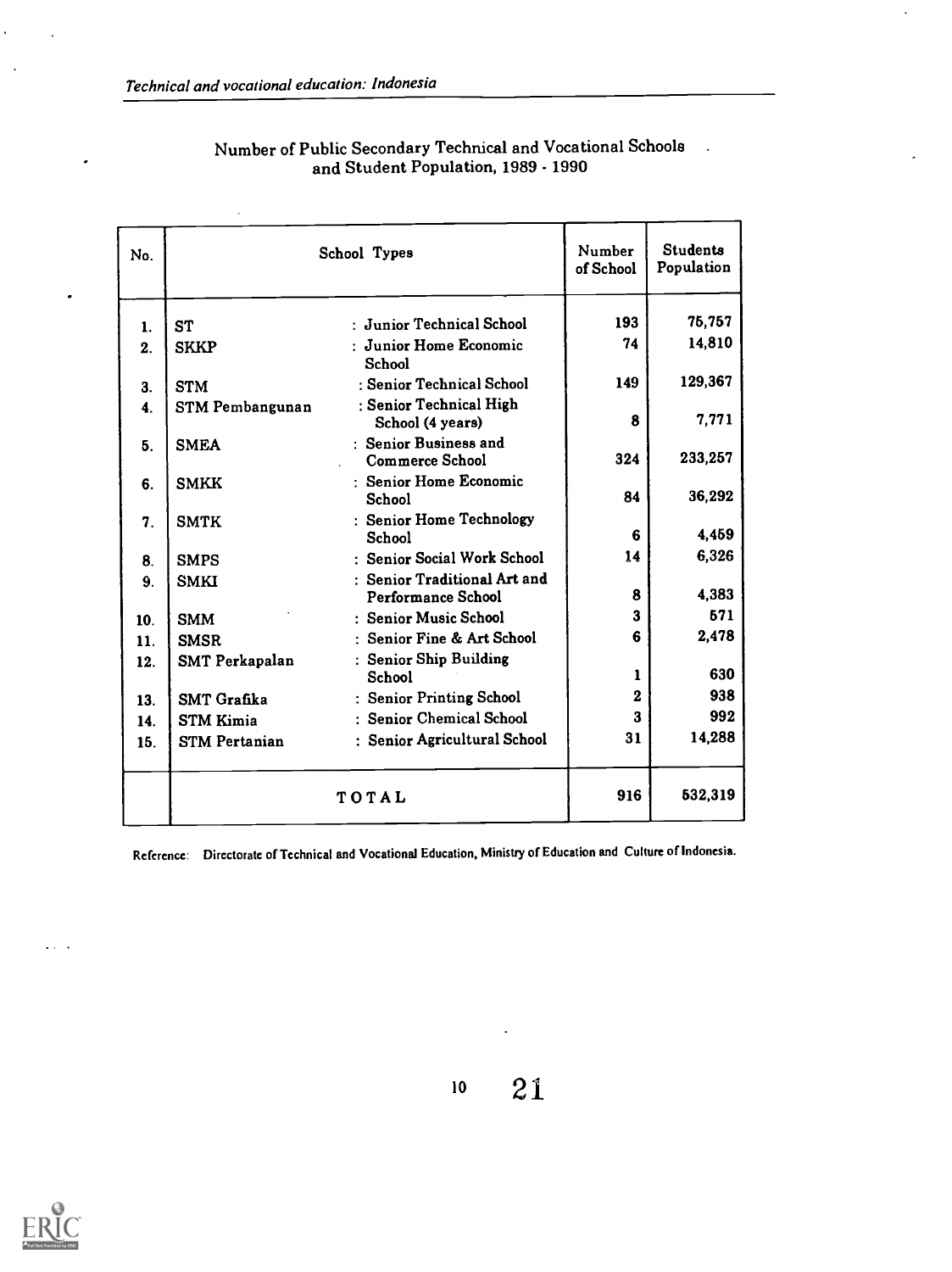$\ddot{\phantom{a}}$ 

 $\cdot$ 

 $\ddot{\phantom{0}}$ 

| No.             | School Types           |                                                    | Number<br>of School | <b>Students</b><br>Population |
|-----------------|------------------------|----------------------------------------------------|---------------------|-------------------------------|
| $\mathbf{1}$ .  | <b>ST</b>              | : Junior Technical School                          | 193                 | 75,757                        |
| 2.              | <b>SKKP</b>            | : Junior Home Economic<br>School                   | 74                  | 14,810                        |
| 3.              | <b>STM</b>             | : Senior Technical School                          | 149                 | 129,367                       |
| $\ddot{4}$ .    | <b>STM Pembangunan</b> | : Senior Technical High<br>School (4 years)        | 8                   | 7,771                         |
| 5.              | <b>SMEA</b>            | : Senior Business and<br><b>Commerce School</b>    | 324                 | 233,257                       |
| 6.              | <b>SMKK</b>            | : Senior Home Economic<br>School                   | 84                  | 36,292                        |
| 7.              | <b>SMTK</b>            | : Senior Home Technology<br>School                 | 6                   | 4,459                         |
| 8.              | <b>SMPS</b>            | : Senior Social Work School                        | 14                  | 6,326                         |
| 9.              | <b>SMKI</b>            | : Senior Traditional Art and<br>Performance School | 8                   | 4,383                         |
| 10 <sub>1</sub> | <b>SMM</b>             | : Senior Music School                              | 3                   | 571                           |
| 11.             | <b>SMSR</b>            | : Senior Fine & Art School                         | 6                   | 2,478                         |
| 12.             | <b>SMT Perkapalan</b>  | : Senior Ship Building<br>School                   | 1                   | 630                           |
| 13.             | SMT Grafika            | : Senior Printing School                           | 2                   | 938                           |
| 14.             | <b>STM Kimia</b>       | : Senior Chemical School                           | 3                   | 992                           |
| 15.             | <b>STM Pertanian</b>   | : Senior Agricultural School                       | 31                  | 14,288                        |
|                 |                        | 916                                                | 532,319             |                               |

#### Number of Public Secondary Technical and Vocational Schools . and Student Population, 1989 - 1990

Reference: Directorate of Technical and Vocational Education, Ministry of Education and Culture of Indonesia.



 $\ldots$ 

<sup>10</sup> 21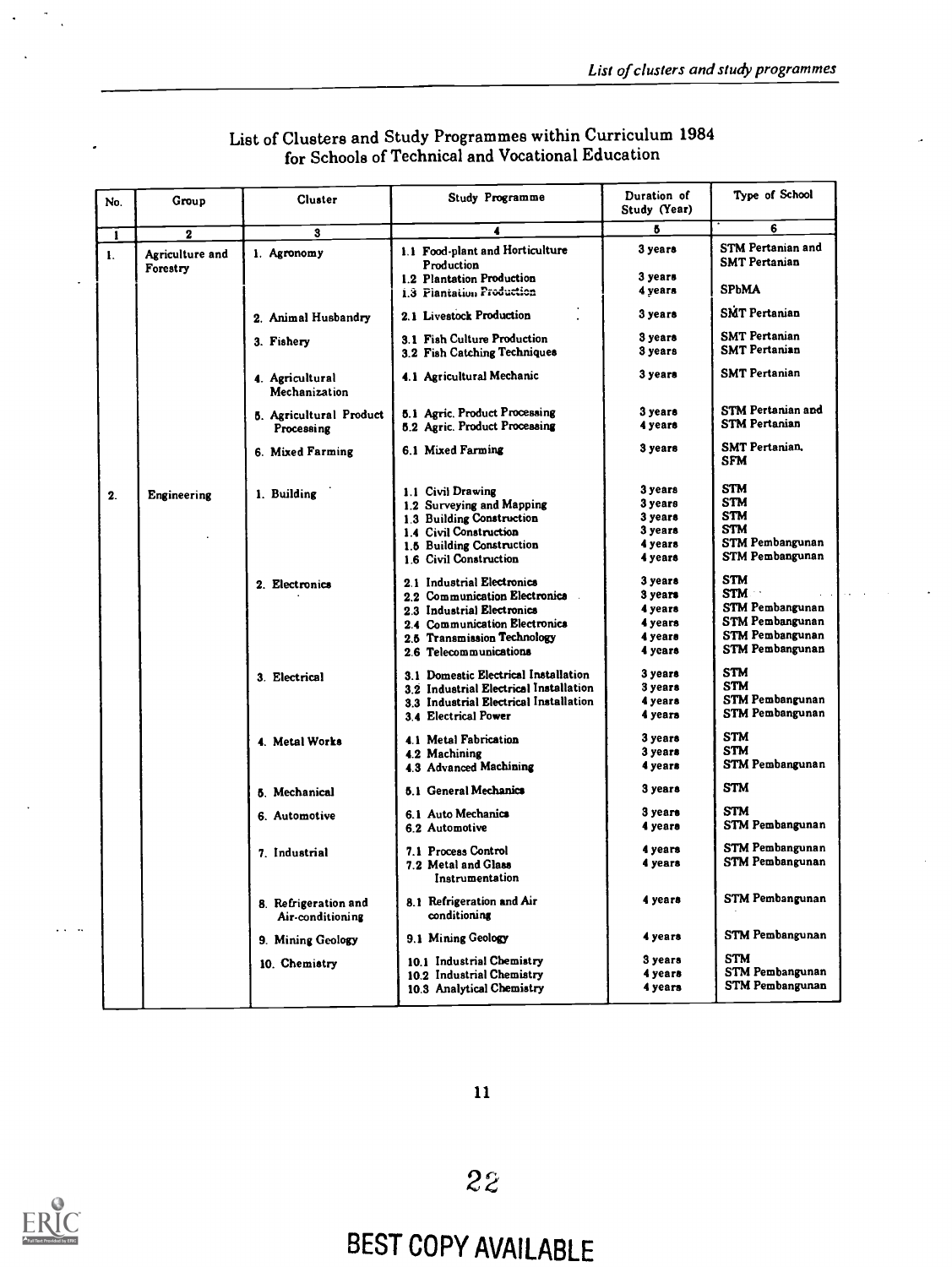| No.            | Group                       | Cluster                                  | Study Programme                                                | Duration of<br>Study (Year) | Type of School                                   |
|----------------|-----------------------------|------------------------------------------|----------------------------------------------------------------|-----------------------------|--------------------------------------------------|
| $\mathbf{I}$   | $\mathbf 2$                 | 3                                        | 4                                                              | 5                           | 6                                                |
| $\mathbf{I}$ . | Agriculture and<br>Forestry | 1. Agronomy                              | 1.1 Food-plant and Horticulture<br>Production                  | 3 years                     | <b>STM Pertanian and</b><br><b>SMT Pertanian</b> |
|                |                             |                                          | 1.2 Plantation Production<br>1.3 Piantation Production         | 3 уеага<br>4 years          | <b>SPbMA</b>                                     |
|                |                             | 2. Animal Husbandry                      | 2.1 Livestock Production                                       | 3 years                     | <b>SMT</b> Pertanian                             |
|                |                             | 3. Fishery                               | 3.1 Fish Culture Production<br>3.2 Fish Catching Techniques    | 3 years<br>3 years          | <b>SMT Pertanian</b><br><b>SMT Pertanian</b>     |
|                |                             | 4. Agricultural<br>Mechanization         | 4.1 Agricultural Mechanic                                      | 3 years                     | <b>SMT Pertanian</b>                             |
|                |                             | 5. Agricultural Product<br>Processing    | 5.1 Agric. Product Processing<br>5.2 Agric. Product Processing | 3 years<br>4 years          | <b>STM Pertanian and</b><br><b>STM Pertanian</b> |
|                |                             | 6. Mixed Farming                         | 6.1 Mixed Farming                                              | 3 years                     | <b>SMT Pertanian.</b><br><b>SFM</b>              |
| 2.             | Engineering                 | 1. Building                              | 1.1 Civil Drawing                                              | 3 years                     | <b>STM</b>                                       |
|                |                             |                                          | 1.2 Surveying and Mapping                                      | 3 years                     | <b>STM</b>                                       |
|                |                             |                                          | 1.3 Building Construction                                      | 3 years                     | <b>STM</b>                                       |
|                |                             |                                          | 1.4 Civil Construction                                         | 3 years                     | <b>STM</b>                                       |
|                |                             |                                          | 1.5 Building Construction                                      | 4 years                     | STM Pembangunan                                  |
|                |                             |                                          | 1.6 Civil Construction                                         | 4 years                     | <b>STM Pembangunan</b>                           |
|                |                             | 2. Electronics                           | 2.1 Industrial Electronics                                     | 3 years                     | <b>STM</b>                                       |
|                |                             |                                          | 2.2 Communication Electronics                                  | 3 years                     | <b>STM</b>                                       |
|                |                             |                                          | 2.3 Industrial Electronics                                     | 4 years                     | <b>STM Pembangunan</b>                           |
|                |                             |                                          | 2.4 Communication Electronics                                  | 4 years                     | <b>STM Pembangunan</b>                           |
|                |                             |                                          | 2.5 Transmission Technology                                    | 4 years                     | <b>STM Pembangunan</b>                           |
|                |                             |                                          | 2.6 Telecommunications                                         | 4 years                     | <b>STM Pembangunan</b>                           |
|                |                             | 3. Electrical                            | 3.1 Domestic Electrical Installation                           | 3 years                     | <b>STM</b>                                       |
|                |                             |                                          | 3.2 Industrial Electrical Installation                         | 3 years                     | <b>STM</b>                                       |
|                |                             |                                          | 3.3 Industrial Electrical Installation                         | 4 years                     | STM Pembangunan                                  |
|                |                             |                                          | 3.4 Electrical Power                                           | 4 years                     | <b>STM Pembangunan</b>                           |
|                |                             | 4. Metal Works                           | 4.1 Metal Fabrication                                          | 3 years                     | <b>STM</b>                                       |
|                |                             |                                          | 4.2 Machining                                                  | 3 years                     | STM                                              |
|                |                             |                                          | 4.3 Advanced Machining                                         | 4 years                     | STM Pembangunan                                  |
|                |                             | 5. Mechanical                            | 5.1 General Mechanics                                          | 3 years                     | STM                                              |
|                |                             | 6. Automotive                            | 6.1 Auto Mechanics                                             | 3 years                     | <b>STM</b>                                       |
|                |                             |                                          | 6.2 Automotive                                                 | 4 years                     | STM Pembangunan                                  |
|                |                             | 7. Industrial                            | 7.1 Process Control                                            | 4 years                     | STM Pembangunan                                  |
|                |                             |                                          | 7.2 Metal and Glass<br>Instrumentation                         | 4 years                     | STM Pembangunan                                  |
|                |                             | 8. Refrigeration and<br>Air-conditioning | 8.1 Refrigeration and Air<br>conditioning                      | 4 years                     | <b>STM Pembangunan</b>                           |
|                |                             | 9. Mining Geology                        | 9.1 Mining Geology                                             | 4 years                     | <b>STM Pembangunan</b>                           |
|                |                             | 10. Chemistry                            | 10.1 Industrial Chemistry                                      | 3 years                     | <b>STM</b>                                       |
|                |                             |                                          | 10.2 Industrial Chemistry                                      | 4 years                     | <b>STM Pembangunan</b>                           |
|                |                             |                                          | 10.3 Analytical Chemistry                                      | 4 years                     | STM Pembangunan                                  |

#### List of Clusters and Study Programmes within Curriculum 1984 for Schools of Technical and Vocational Education

11



 $\ddotsc$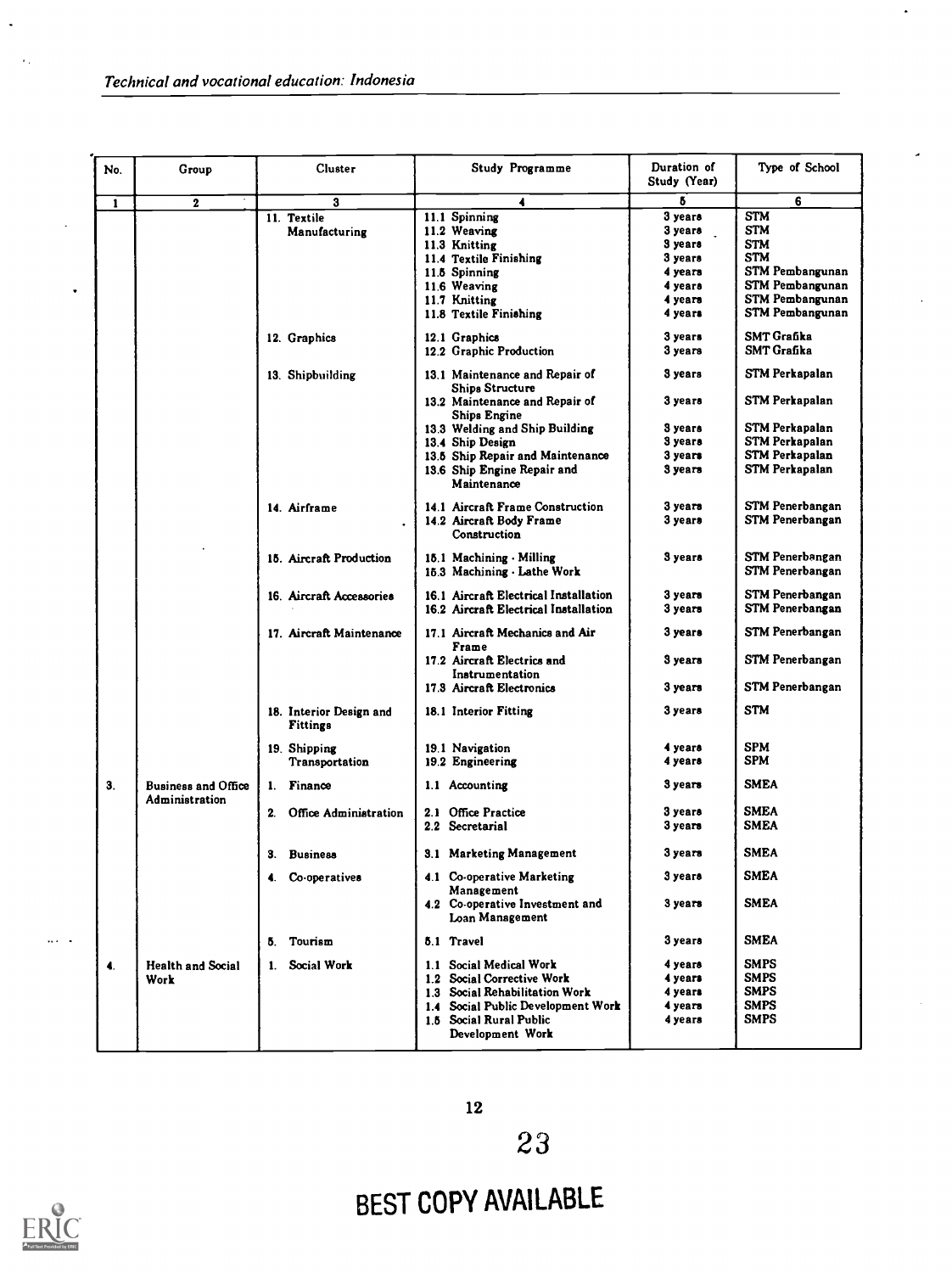$\ddot{\phantom{a}}$ 

 $\mathcal{A}_1$ 

 $\ddot{\phantom{0}}$ 

| No.          | Group                                        | <b>Cluster</b>                             | Study Programme                                                          | Duration of<br>Study (Year)              | Type of School                                                                                       |
|--------------|----------------------------------------------|--------------------------------------------|--------------------------------------------------------------------------|------------------------------------------|------------------------------------------------------------------------------------------------------|
| $\mathbf{1}$ | $\mathbf 2$                                  | 3                                          | 4                                                                        | 6                                        | 6                                                                                                    |
|              |                                              | 11. Textile<br>Manufacturing               | 11.1 Spinning<br>11.2 Weaving<br>11.3 Knitting<br>11.4 Textile Finishing | 3 years<br>3 уеага<br>3 years<br>3 years | <b>STM</b><br><b>STM</b><br><b>STM</b><br><b>STM</b>                                                 |
|              |                                              |                                            | 11.5 Spinning<br>11.6 Weaving<br>11.7 Knitting<br>11.8 Textile Finishing | 4 years<br>4 years<br>4 years<br>4 years | <b>STM Pembangunan</b><br><b>STM Pembangunan</b><br><b>STM Pembangunan</b><br><b>STM Pembangunan</b> |
|              |                                              | 12. Graphics                               | 12.1 Graphics<br>12.2 Graphic Production                                 | 3 years<br>3 years                       | <b>SMT Grafika</b><br><b>SMT Grafika</b>                                                             |
|              |                                              | 13. Shipbuilding                           | 13.1 Maintenance and Repair of<br><b>Ships Structure</b>                 | 3 years                                  | STM Perkapalan                                                                                       |
|              |                                              |                                            | 13.2 Maintenance and Repair of<br>Ships Engine                           | 3 years                                  | STM Perkapalan                                                                                       |
|              |                                              |                                            | 13.3 Welding and Ship Building                                           | 3 years                                  | STM Perkapalan                                                                                       |
|              |                                              |                                            | 13.4 Ship Design                                                         | 3 years                                  | <b>STM Perkapalan</b>                                                                                |
|              |                                              |                                            | 13.5 Ship Repair and Maintenance                                         | 3 years                                  | STM Perkapalan                                                                                       |
|              |                                              |                                            | 13.6 Ship Engine Repair and<br>Maintenance                               | 3 years                                  | STM Perkapalan                                                                                       |
|              |                                              | 14. Airframe                               | 14.1 Aircraft Frame Construction                                         | 3 years                                  | STM Penerbangan                                                                                      |
|              |                                              |                                            | 14.2 Aircraft Body Frame<br>Construction                                 | 3 years                                  | <b>STM Penerbangan</b>                                                                               |
|              |                                              | 15. Aircraft Production                    | 15.1 Machining - Milling<br>15.3 Machining - Lathe Work                  | 3 years                                  | <b>STM Penerbangan</b><br>STM Penerbangan                                                            |
|              |                                              | 16. Aircraft Accessories                   | 16.1 Aircraft Electrical Installation                                    | 3 years                                  | <b>STM Penerbangan</b>                                                                               |
|              |                                              |                                            | 16.2 Aircraft Electrical Installation                                    | 3 years                                  | <b>STM Penerbangan</b>                                                                               |
|              |                                              | 17. Aircraft Maintenance                   | 17.1 Aircraft Mechanics and Air<br>Frame                                 | 3 years                                  | STM Penerbangan                                                                                      |
|              |                                              |                                            | 17.2 Aircraft Electrics and<br>Instrumentation                           | 3 years                                  | STM Penerbangan                                                                                      |
|              |                                              |                                            | 17.3 Aircraft Electronics                                                | 3 years                                  | <b>STM Penerbangan</b>                                                                               |
|              |                                              | 18. Interior Design and<br><b>Fittings</b> | 18.1 Interior Fitting                                                    | $3$ years                                | <b>STM</b>                                                                                           |
|              |                                              | 19. Shipping                               | 19.1 Navigation                                                          | 4 years                                  | <b>SPM</b>                                                                                           |
|              |                                              | Transportation                             | 19.2 Engineering                                                         | 4 years                                  | <b>SPM</b>                                                                                           |
| 3.           | <b>Business and Office</b><br>Administration | Finance<br>1.                              | 1.1 Accounting                                                           | 3 years                                  | <b>SMEA</b>                                                                                          |
|              |                                              | 2. Office Administration                   | 2.1 Office Practice                                                      | 3 уеага                                  | <b>SMEA</b>                                                                                          |
|              |                                              |                                            | 2.2 Secretarial                                                          | 3 years                                  | <b>SMEA</b>                                                                                          |
|              |                                              | 3.<br><b>Business</b>                      | <b>3.1 Marketing Management</b>                                          | 3 years                                  | <b>SMEA</b>                                                                                          |
|              |                                              | Co-operatives<br>4.                        | 4.1 Co-operative Marketing<br>Management                                 | 3 years                                  | <b>SMEA</b>                                                                                          |
|              |                                              |                                            | 4.2 Co-operative Investment and<br>Loan Management                       | 3 years                                  | <b>SMEA</b>                                                                                          |
|              |                                              | 5. Tourism                                 | 5.1 Travel                                                               | 3 <sub>years</sub>                       | <b>SMEA</b>                                                                                          |
| 4.           | <b>Health and Social</b>                     | 1. Social Work                             | 1.1 Social Medical Work                                                  | 4 years                                  | <b>SMPS</b>                                                                                          |
|              | Work                                         |                                            | 1.2 Social Corrective Work                                               | 4 years                                  | <b>SMPS</b>                                                                                          |
|              |                                              |                                            | 1.3 Social Rehabilitation Work                                           | 4 years                                  | <b>SMPS</b>                                                                                          |
|              |                                              |                                            | 1.4 Social Public Development Work                                       | 4 years                                  | <b>SMPS</b>                                                                                          |
|              |                                              |                                            | 1.5 Social Rural Public<br>Development Work                              | 4 years                                  | <b>SMPS</b>                                                                                          |

 $\bullet$ 



 $\ldots$  .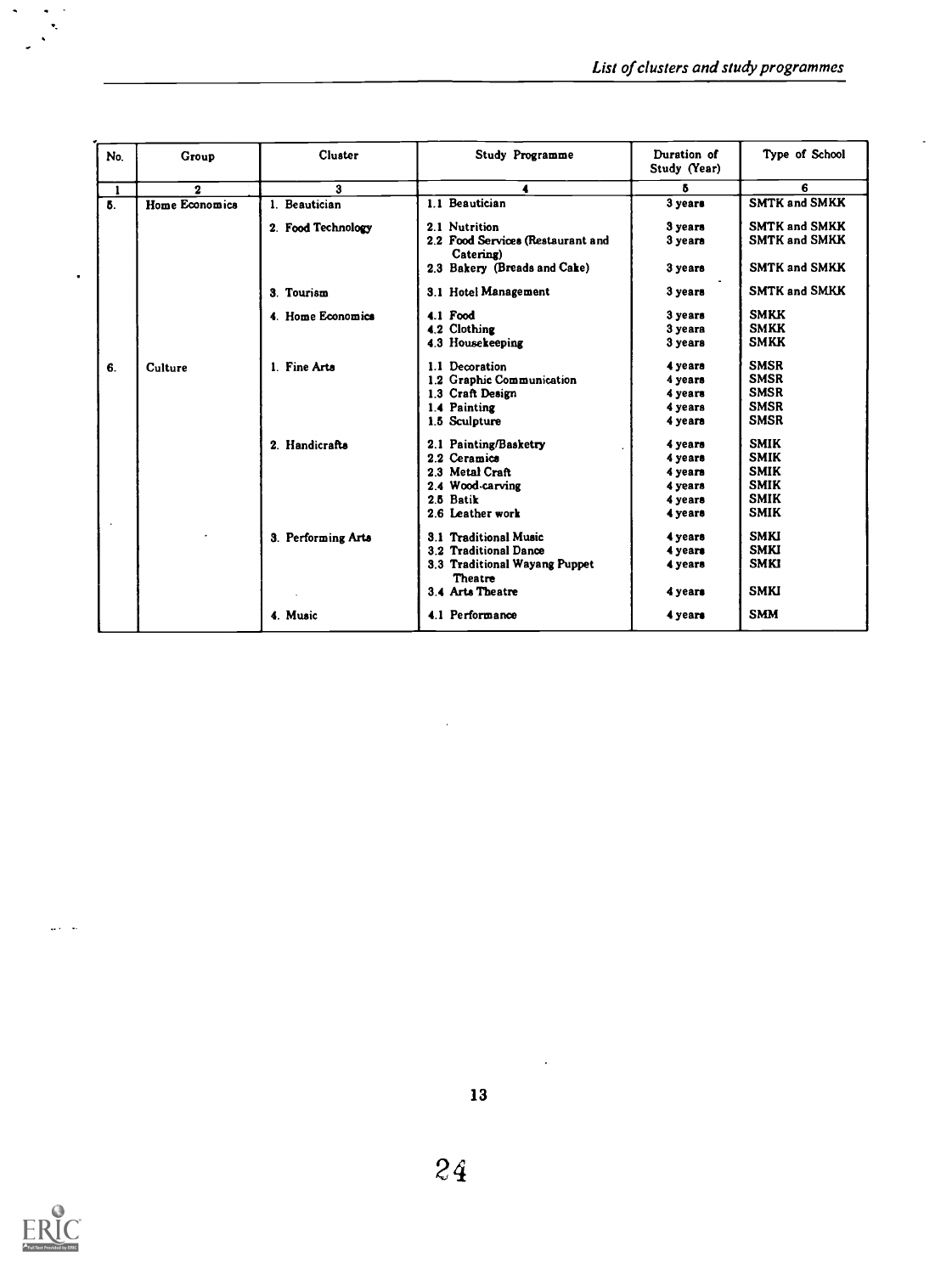| No. | Group                 | Cluster            | Study Programme                                | Duration of<br>Study (Year) | Type of School       |
|-----|-----------------------|--------------------|------------------------------------------------|-----------------------------|----------------------|
| 1   | $\mathbf{2}$          | З                  |                                                | 5                           | 6                    |
| Б.  | <b>Home Economics</b> | 1. Beautician      | 1.1 Beautician                                 | 3 years                     | <b>SMTK and SMKK</b> |
|     |                       | 2. Food Technology | 2.1 Nutrition                                  | 3 years                     | <b>SMTK and SMKK</b> |
|     |                       |                    | 2.2 Food Services (Restaurant and<br>Catering) | 3 years                     | <b>SMTK and SMKK</b> |
|     |                       |                    | 2.3 Bakery (Breads and Cake)                   | 3 years                     | <b>SMTK and SMKK</b> |
|     |                       | 3. Tourism         | 3.1 Hotel Management                           | 3 years                     | <b>SMTK and SMKK</b> |
|     |                       | 4. Home Economics  | 4.1 Food                                       | 3 years                     | <b>SMKK</b>          |
|     |                       |                    | 4.2 Clothing                                   | 3 years                     | <b>SMKK</b>          |
|     |                       |                    | 4.3 Housekeeping                               | 3 years                     | <b>SMKK</b>          |
| 6.  | Culture               | 1. Fine Arts       | 1.1 Decoration                                 | 4 years                     | <b>SMSR</b>          |
|     |                       |                    | 1.2 Graphic Communication                      | 4 years                     | <b>SMSR</b>          |
|     |                       |                    | 1.3 Craft Design                               | 4 years                     | <b>SMSR</b>          |
|     |                       |                    | 1.4 Painting                                   | 4 years                     | <b>SMSR</b>          |
|     |                       |                    | 1.5 Sculpture                                  | 4 years                     | <b>SMSR</b>          |
|     |                       | 2. Handicrafts     | 2.1 Painting/Basketry                          | 4 years                     | <b>SMIK</b>          |
|     |                       |                    | 2.2 Ceramics                                   | 4 years                     | <b>SMIK</b>          |
|     |                       |                    | 2.3 Metal Craft                                | 4 years                     | <b>SMIK</b>          |
|     |                       |                    | 2.4 Wood-carving                               | 4 years                     | <b>SMIK</b>          |
|     |                       |                    | 2.5 Batik                                      | 4 years                     | <b>SMIK</b>          |
|     |                       |                    | 2.6 Leather work                               | 4 years                     | <b>SMIK</b>          |
|     |                       | 3. Performing Arts | 3.1 Traditional Music                          | 4 years                     | <b>SMKI</b>          |
|     |                       |                    | 3.2 Traditional Dance                          | 4 years                     | <b>SMKI</b>          |
|     |                       |                    | 3.3 Traditional Wayang Puppet<br>Theatre       | 4 years                     | <b>SMKI</b>          |
|     |                       |                    | 3.4 Arts Theatre                               | 4 years                     | <b>SMKI</b>          |
|     |                       | 4. Music           | 4.1 Performance                                | 4 years                     | <b>SMM</b>           |



 $\frac{1}{2}$  ,  $\frac{1}{2}$  ,  $\frac{1}{2}$  ,

 $\bullet$ 

 $\ddot{\phantom{0}}$ 

 $\ddot{\phantom{a}}$